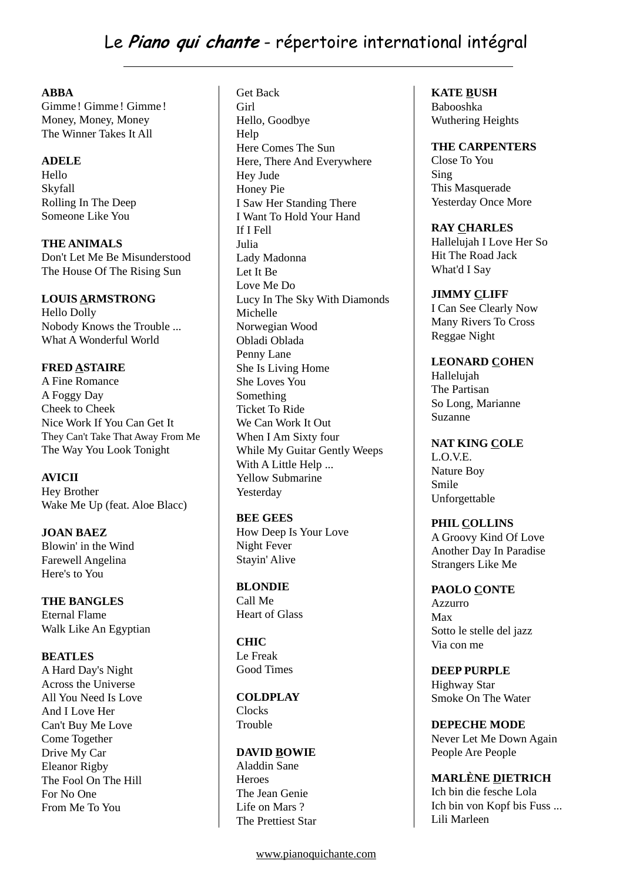# **ABBA**

Gimme ! Gimme ! Gimme ! Money, Money, Money The Winner Takes It All

# **ADELE**

Hello Skyfall Rolling In The Deep Someone Like You

**THE ANIMALS** Don't Let Me Be Misunderstood The House Of The Rising Sun

# **LOUIS ARMSTRONG**

Hello Dolly Nobody Knows the Trouble ... What A Wonderful World

# **FRED ASTAIRE**

A Fine Romance A Foggy Day Cheek to Cheek Nice Work If You Can Get It They Can't Take That Away From Me The Way You Look Tonight

# **AVICII**

Hey Brother Wake Me Up (feat. Aloe Blacc)

**JOAN BAEZ** Blowin' in the Wind Farewell Angelina Here's to You

**THE BANGLES** Eternal Flame Walk Like An Egyptian

# **BEATLES**

A Hard Day's Night Across the Universe All You Need Is Love And I Love Her Can't Buy Me Love Come Together Drive My Car Eleanor Rigby The Fool On The Hill For No One From Me To You

Get Back Girl Hello, Goodbye **Help** Here Comes The Sun Here, There And Everywhere Hey Jude Honey Pie I Saw Her Standing There I Want To Hold Your Hand If I Fell Julia Lady Madonna Let It Be Love Me Do Lucy In The Sky With Diamonds Michelle Norwegian Wood Obladi Oblada Penny Lane She Is Living Home She Loves You Something Ticket To Ride We Can Work It Out When I Am Sixty four While My Guitar Gently Weeps With A Little Help ... Yellow Submarine Yesterday

# **BEE GEES**

How Deep Is Your Love Night Fever Stayin' Alive

**BLONDIE**

Call Me Heart of Glass

**CHIC** Le Freak Good Times

#### **COLDPLAY Clocks** Trouble

**DAVID BOWIE** Aladdin Sane **Heroes** The Jean Genie Life on Mars ? The Prettiest Star **KATE BUSH**

Babooshka Wuthering Heights

# **THE CARPENTERS**

Close To You Sing This Masquerade Yesterday Once More

#### **RAY CHARLES**

Hallelujah I Love Her So Hit The Road Jack What'd I Say

#### **JIMMY CLIFF**

I Can See Clearly Now Many Rivers To Cross Reggae Night

# **LEONARD COHEN**

Hallelujah The Partisan So Long, Marianne Suzanne

# **NAT KING COLE**

L.O.V.E. Nature Boy Smile Unforgettable

**PHIL COLLINS** A Groovy Kind Of Love

Another Day In Paradise

# Strangers Like Me **PAOLO CONTE**

Azzurro Max Sotto le stelle del jazz Via con me

**DEEP PURPLE** Highway Star Smoke On The Water

**DEPECHE MODE** Never Let Me Down Again People Are People

**MARLÈNE DIETRICH** Ich bin die fesche Lola Ich bin von Kopf bis Fuss ... Lili Marleen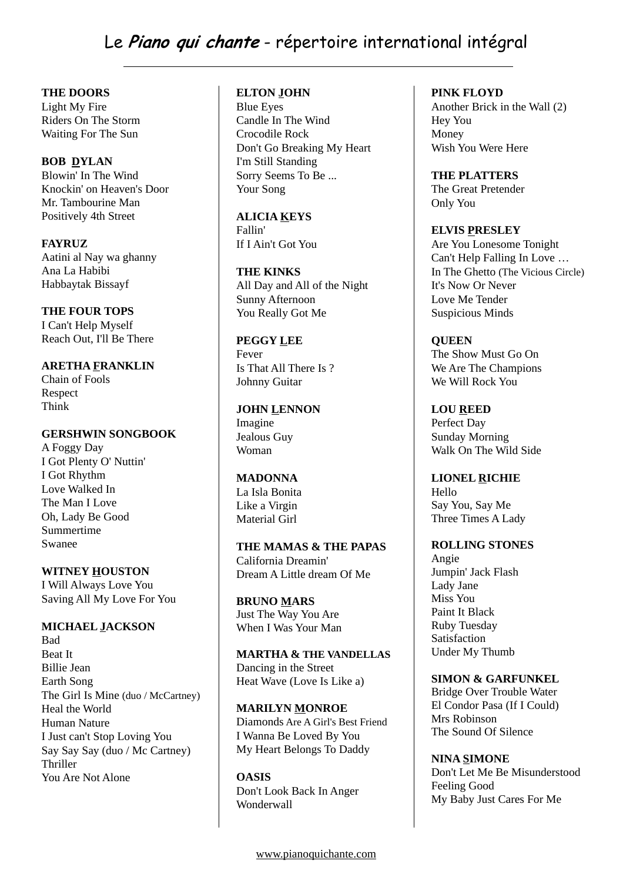Le **Piano qui chante** - répertoire international intégral

**THE DOORS**

Light My Fire Riders On The Storm Waiting For The Sun

#### **BOB DYLAN**

Blowin' In The Wind Knockin' on Heaven's Door Mr. Tambourine Man Positively 4th Street

**FAYRUZ** Aatini al Nay wa ghanny Ana La Habibi Habbaytak Bissayf

#### **THE FOUR TOPS**

I Can't Help Myself Reach Out, I'll Be There

# **ARETHA FRANKLIN**

Chain of Fools Respect Think

#### **GERSHWIN SONGBOOK**

A Foggy Day I Got Plenty O' Nuttin' I Got Rhythm Love Walked In The Man I Love Oh, Lady Be Good Summertime Swanee

# **WITNEY HOUSTON**

I Will Always Love You Saving All My Love For You

# **MICHAEL JACKSON**

Bad Beat It Billie Jean Earth Song The Girl Is Mine (duo / McCartney) Heal the World Human Nature I Just can't Stop Loving You Say Say Say (duo / Mc Cartney) Thriller You Are Not Alone

#### **ELTON JOHN**

Blue Eyes Candle In The Wind Crocodile Rock Don't Go Breaking My Heart I'm Still Standing Sorry Seems To Be ... Your Song

# **ALICIA KEYS**

Fallin' If I Ain't Got You

# **THE KINKS**

All Day and All of the Night Sunny Afternoon You Really Got Me

# **PEGGY LEE**

Fever Is That All There Is ? Johnny Guitar

#### **JOHN LENNON** Imagine Jealous Guy Woman

# **MADONNA**

La Isla Bonita Like a Virgin Material Girl

#### **THE MAMAS & THE PAPAS** California Dreamin' Dream A Little dream Of Me

**BRUNO MARS** Just The Way You Are When I Was Your Man

#### **MARTHA & THE VANDELLAS** Dancing in the Street Heat Wave (Love Is Like a)

# **MARILYN MONROE** Diamonds Are A Girl's Best Friend I Wanna Be Loved By You My Heart Belongs To Daddy

**OASIS** Don't Look Back In Anger Wonderwall

#### **PINK FLOYD**

Another Brick in the Wall (2) Hey You Money Wish You Were Here

**THE PLATTERS** The Great Pretender Only You

#### **ELVIS PRESLEY**

Are You Lonesome Tonight Can't Help Falling In Love … In The Ghetto (The Vicious Circle) It's Now Or Never Love Me Tender Suspicious Minds

# **QUEEN**

The Show Must Go On We Are The Champions We Will Rock You

**LOU REED** Perfect Day Sunday Morning Walk On The Wild Side

#### **LIONEL RICHIE** Hello Say You, Say Me Three Times A Lady

# **ROLLING STONES**

Angie Jumpin' Jack Flash Lady Jane Miss You Paint It Black Ruby Tuesday Satisfaction Under My Thumb

# **SIMON & GARFUNKEL**

Bridge Over Trouble Water El Condor Pasa (If I Could) Mrs Robinson The Sound Of Silence

#### **NINA SIMONE**

Don't Let Me Be Misunderstood Feeling Good My Baby Just Cares For Me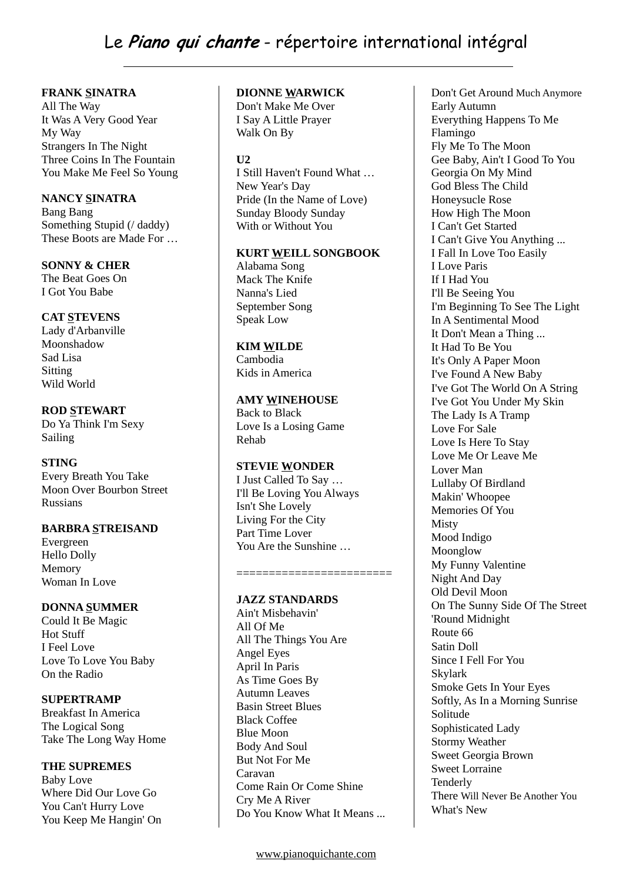# **FRANK SINATRA**

All The Way It Was A Very Good Year My Way Strangers In The Night Three Coins In The Fountain You Make Me Feel So Young

#### **NANCY SINATRA**

Bang Bang Something Stupid (/ daddy) These Boots are Made For …

**SONNY & CHER** The Beat Goes On I Got You Babe

# **CAT STEVENS**

Lady d'Arbanville Moonshadow Sad Lisa Sitting Wild World

# **ROD STEWART**

Do Ya Think I'm Sexy Sailing

# **STING**

Every Breath You Take Moon Over Bourbon Street Russians

# **BARBRA STREISAND**

Evergreen Hello Dolly Memory Woman In Love

# **DONNA SUMMER**

Could It Be Magic Hot Stuff I Feel Love Love To Love You Baby On the Radio

# **SUPERTRAMP**

Breakfast In America The Logical Song Take The Long Way Home

# **THE SUPREMES**

Baby Love Where Did Our Love Go You Can't Hurry Love You Keep Me Hangin' On

# **DIONNE WARWICK**

Don't Make Me Over I Say A Little Prayer Walk On By

# **U2**

I Still Haven't Found What … New Year's Day Pride (In the Name of Love) Sunday Bloody Sunday With or Without You

#### **KURT WEILL SONGBOOK**

Alabama Song Mack The Knife Nanna's Lied September Song Speak Low

# **KIM WILDE**

Cambodia Kids in America

# **AMY WINEHOUSE**

Back to Black Love Is a Losing Game Rehab

# **STEVIE WONDER**

I Just Called To Say … I'll Be Loving You Always Isn't She Lovely Living For the City Part Time Lover You Are the Sunshine …

========================

# **JAZZ STANDARDS**

Ain't Misbehavin' All Of Me All The Things You Are Angel Eyes April In Paris As Time Goes By Autumn Leaves Basin Street Blues Black Coffee Blue Moon Body And Soul But Not For Me Caravan Come Rain Or Come Shine Cry Me A River Do You Know What It Means ... Don't Get Around Much Anymore Early Autumn Everything Happens To Me Flamingo Fly Me To The Moon Gee Baby, Ain't I Good To You Georgia On My Mind God Bless The Child Honeysucle Rose How High The Moon I Can't Get Started I Can't Give You Anything ... I Fall In Love Too Easily I Love Paris If I Had You I'll Be Seeing You I'm Beginning To See The Light In A Sentimental Mood It Don't Mean a Thing ... It Had To Be You It's Only A Paper Moon I've Found A New Baby I've Got The World On A String I've Got You Under My Skin The Lady Is A Tramp Love For Sale Love Is Here To Stay Love Me Or Leave Me Lover Man Lullaby Of Birdland Makin' Whoopee Memories Of You Misty Mood Indigo Moonglow My Funny Valentine Night And Day Old Devil Moon On The Sunny Side Of The Street 'Round Midnight Route 66 Satin Doll Since I Fell For You Skylark Smoke Gets In Your Eyes Softly, As In a Morning Sunrise Solitude Sophisticated Lady Stormy Weather Sweet Georgia Brown Sweet Lorraine Tenderly There Will Never Be Another You What's New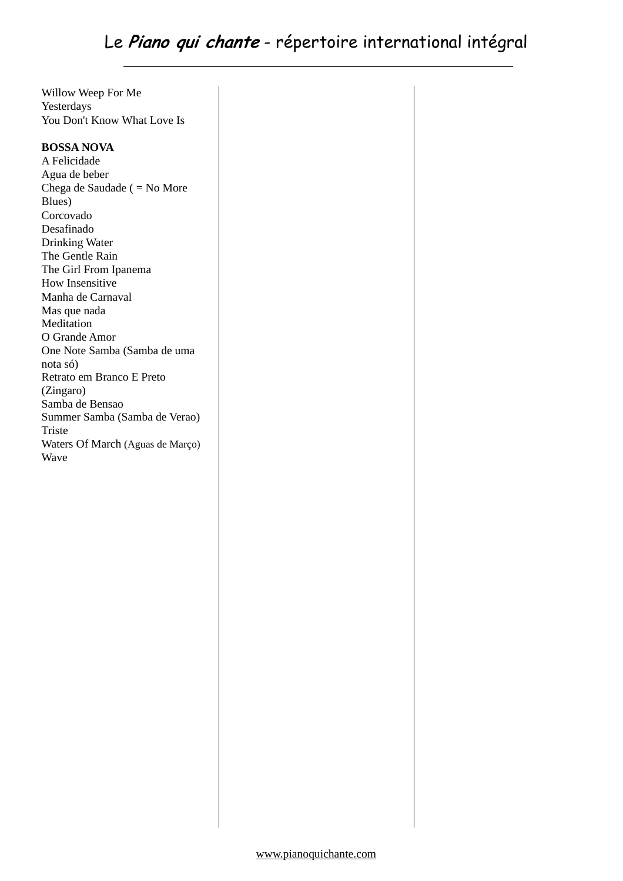Willow Weep For Me Yesterdays You Don't Know What Love Is

# **BOSSA NOVA**

A Felicidade Agua de beber Chega de Saudade ( = No More Blues) Corcovado Desafinado Drinking Water The Gentle Rain The Girl From Ipanema How Insensitive Manha de Carnaval Mas que nada Meditation O Grande Amor One Note Samba (Samba de uma nota só) Retrato em Branco E Preto (Zingaro) Samba de Bensao Summer Samba (Samba de Verao) Triste Waters Of March (Aguas de Março) Wave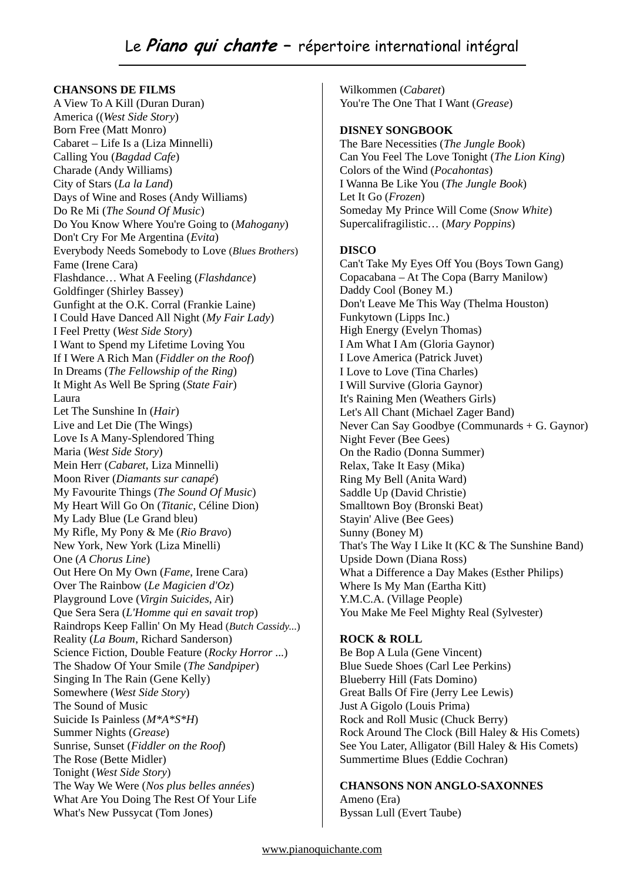# **CHANSONS DE FILMS**

A View To A Kill (Duran Duran) America ((*West Side Story*) Born Free (Matt Monro) Cabaret – Life Is a (Liza Minnelli) Calling You (*Bagdad Cafe*) Charade (Andy Williams) City of Stars (*La la Land*) Days of Wine and Roses (Andy Williams) Do Re Mi (*The Sound Of Music*) Do You Know Where You're Going to (*Mahogany*) Don't Cry For Me Argentina (*Evita*) Everybody Needs Somebody to Love (*Blues Brothers*) Fame (Irene Cara) Flashdance… What A Feeling (*Flashdance*) Goldfinger (Shirley Bassey) Gunfight at the O.K. Corral (Frankie Laine) I Could Have Danced All Night (*My Fair Lady*) I Feel Pretty (*West Side Story*) I Want to Spend my Lifetime Loving You If I Were A Rich Man (*Fiddler on the Roof*) In Dreams (*The Fellowship of the Ring*) It Might As Well Be Spring (*State Fair*) Laura Let The Sunshine In (*Hair*) Live and Let Die (The Wings) Love Is A Many-Splendored Thing Maria (*West Side Story*) Mein Herr (*Cabaret*, Liza Minnelli) Moon River (*Diamants sur canapé*) My Favourite Things (*The Sound Of Music*) My Heart Will Go On (*Titanic*, Céline Dion) My Lady Blue (Le Grand bleu) My Rifle, My Pony & Me (*Rio Bravo*) New York, New York (Liza Minelli) One (*A Chorus Line*) Out Here On My Own (*Fame*, Irene Cara) Over The Rainbow (*Le Magicien d'Oz*) Playground Love (*Virgin Suicides*, Air) Que Sera Sera (*L'Homme qui en savait trop*) Raindrops Keep Fallin' On My Head (*Butch Cassidy*...) Reality (*La Boum*, Richard Sanderson) Science Fiction, Double Feature (*Rocky Horror* ...) The Shadow Of Your Smile (*The Sandpiper*) Singing In The Rain (Gene Kelly) Somewhere (*West Side Story*) The Sound of Music Suicide Is Painless (*M\*A\*S\*H*) Summer Nights (*Grease*) Sunrise, Sunset (*Fiddler on the Roof*) The Rose (Bette Midler) Tonight (*West Side Story*) The Way We Were (*Nos plus belles années*) What Are You Doing The Rest Of Your Life What's New Pussycat (Tom Jones)

Wilkommen (*Cabaret*) You're The One That I Want (*Grease*)

#### **DISNEY SONGBOOK**

The Bare Necessities (*The Jungle Book*) Can You Feel The Love Tonight (*The Lion King*) Colors of the Wind (*Pocahontas*) I Wanna Be Like You (*The Jungle Book*) Let It Go (*Frozen*) Someday My Prince Will Come (*Snow White*) Supercalifragilistic… (*Mary Poppins*)

# **DISCO**

Can't Take My Eyes Off You (Boys Town Gang) Copacabana – At The Copa (Barry Manilow) Daddy Cool (Boney M.) Don't Leave Me This Way (Thelma Houston) Funkytown (Lipps Inc.) High Energy (Evelyn Thomas) I Am What I Am (Gloria Gaynor) I Love America (Patrick Juvet) I Love to Love (Tina Charles) I Will Survive (Gloria Gaynor) It's Raining Men (Weathers Girls) Let's All Chant (Michael Zager Band) Never Can Say Goodbye (Communards + G. Gaynor) Night Fever (Bee Gees) On the Radio (Donna Summer) Relax, Take It Easy (Mika) Ring My Bell (Anita Ward) Saddle Up (David Christie) Smalltown Boy (Bronski Beat) Stayin' Alive (Bee Gees) Sunny (Boney M) That's The Way I Like It (KC & The Sunshine Band) Upside Down (Diana Ross) What a Difference a Day Makes (Esther Philips) Where Is My Man (Eartha Kitt) Y.M.C.A. (Village People) You Make Me Feel Mighty Real (Sylvester)

# **ROCK & ROLL**

Be Bop A Lula (Gene Vincent) Blue Suede Shoes (Carl Lee Perkins) Blueberry Hill (Fats Domino) Great Balls Of Fire (Jerry Lee Lewis) Just A Gigolo (Louis Prima) Rock and Roll Music (Chuck Berry) Rock Around The Clock (Bill Haley & His Comets) See You Later, Alligator (Bill Haley & His Comets) Summertime Blues (Eddie Cochran)

**CHANSONS NON ANGLO-SAXONNES** Ameno (Era) Byssan Lull (Evert Taube)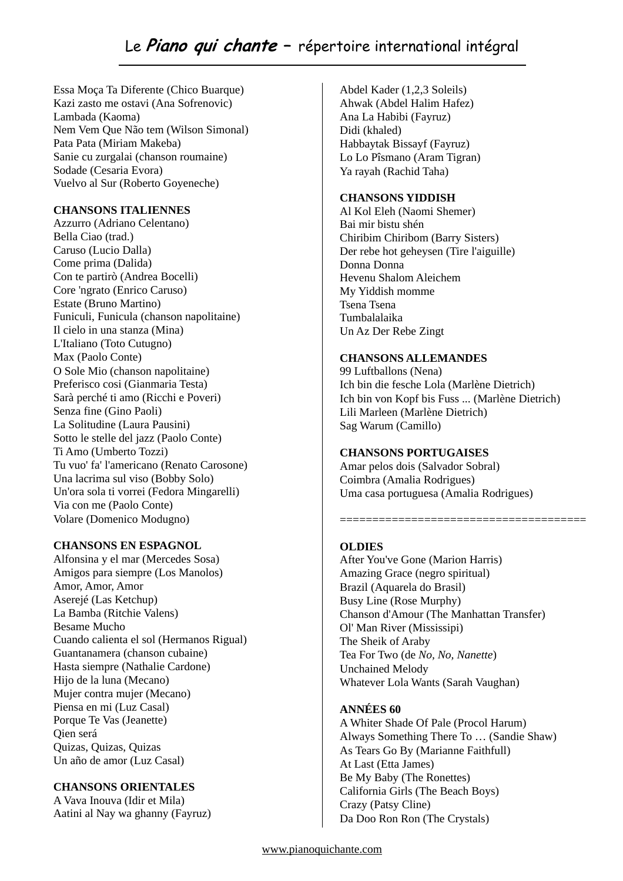# Le **Piano qui chante –** répertoire international intégral

Essa Moça Ta Diferente (Chico Buarque) Kazi zasto me ostavi (Ana Sofrenovic) Lambada (Kaoma) Nem Vem Que Não tem (Wilson Simonal) Pata Pata (Miriam Makeba) Sanie cu zurgalai (chanson roumaine) Sodade (Cesaria Evora) Vuelvo al Sur (Roberto Goyeneche)

#### **CHANSONS ITALIENNES**

Azzurro (Adriano Celentano) Bella Ciao (trad.) Caruso (Lucio Dalla) Come prima (Dalida) Con te partirò (Andrea Bocelli) Core 'ngrato (Enrico Caruso) Estate (Bruno Martino) Funiculi, Funicula (chanson napolitaine) Il cielo in una stanza (Mina) L'Italiano (Toto Cutugno) Max (Paolo Conte) O Sole Mio (chanson napolitaine) Preferisco cosi (Gianmaria Testa) Sarà perché ti amo (Ricchi e Poveri) Senza fine (Gino Paoli) La Solitudine (Laura Pausini) Sotto le stelle del jazz (Paolo Conte) Ti Amo (Umberto Tozzi) Tu vuo' fa' l'americano (Renato Carosone) Una lacrima sul viso (Bobby Solo) Un'ora sola ti vorrei (Fedora Mingarelli) Via con me (Paolo Conte) Volare (Domenico Modugno)

#### **CHANSONS EN ESPAGNOL**

Alfonsina y el mar (Mercedes Sosa) Amigos para siempre (Los Manolos) Amor, Amor, Amor Aserejé (Las Ketchup) La Bamba (Ritchie Valens) Besame Mucho Cuando calienta el sol (Hermanos Rigual) Guantanamera (chanson cubaine) Hasta siempre (Nathalie Cardone) Hijo de la luna (Mecano) Mujer contra mujer (Mecano) Piensa en mi (Luz Casal) Porque Te Vas (Jeanette) Qien será Quizas, Quizas, Quizas Un año de amor (Luz Casal)

# **CHANSONS ORIENTALES**

A Vava Inouva (Idir et Mila) Aatini al Nay wa ghanny (Fayruz)

Abdel Kader (1,2,3 Soleils) Ahwak (Abdel Halim Hafez) Ana La Habibi (Fayruz) Didi (khaled) Habbaytak Bissayf (Fayruz) Lo Lo Pîsmano (Aram Tigran) Ya rayah (Rachid Taha)

# **CHANSONS YIDDISH**

Al Kol Eleh (Naomi Shemer) Bai mir bistu shén Chiribim Chiribom (Barry Sisters) Der rebe hot geheysen (Tire l'aiguille) Donna Donna Hevenu Shalom Aleichem My Yiddish momme Tsena Tsena Tumbalalaika Un Az Der Rebe Zingt

#### **CHANSONS ALLEMANDES**

99 Luftballons (Nena) Ich bin die fesche Lola (Marlène Dietrich) Ich bin von Kopf bis Fuss ... (Marlène Dietrich) Lili Marleen (Marlène Dietrich) Sag Warum (Camillo)

# **CHANSONS PORTUGAISES**

Amar pelos dois (Salvador Sobral) Coimbra (Amalia Rodrigues) Uma casa portuguesa (Amalia Rodrigues)

======================================

# **OLDIES**

After You've Gone (Marion Harris) Amazing Grace (negro spiritual) Brazil (Aquarela do Brasil) Busy Line (Rose Murphy) Chanson d'Amour (The Manhattan Transfer) Ol' Man River (Mississipi) The Sheik of Araby Tea For Two (de *No, No, Nanette*) Unchained Melody Whatever Lola Wants (Sarah Vaughan)

# **ANNÉES 60**

A Whiter Shade Of Pale (Procol Harum) Always Something There To … (Sandie Shaw) As Tears Go By (Marianne Faithfull) At Last (Etta James) Be My Baby (The Ronettes) California Girls (The Beach Boys) Crazy (Patsy Cline) Da Doo Ron Ron (The Crystals)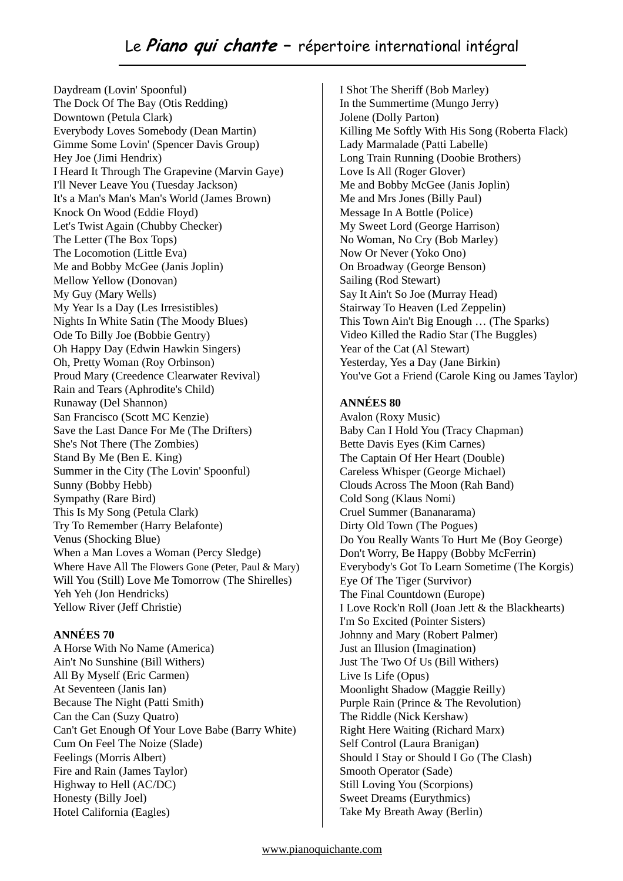# Le **Piano qui chante –** répertoire international intégral

Daydream (Lovin' Spoonful) The Dock Of The Bay (Otis Redding) Downtown (Petula Clark) Everybody Loves Somebody (Dean Martin) Gimme Some Lovin' (Spencer Davis Group) Hey Joe (Jimi Hendrix) I Heard It Through The Grapevine (Marvin Gaye) I'll Never Leave You (Tuesday Jackson) It's a Man's Man's Man's World (James Brown) Knock On Wood (Eddie Floyd) Let's Twist Again (Chubby Checker) The Letter (The Box Tops) The Locomotion (Little Eva) Me and Bobby McGee (Janis Joplin) Mellow Yellow (Donovan) My Guy (Mary Wells) My Year Is a Day (Les Irresistibles) Nights In White Satin (The Moody Blues) Ode To Billy Joe (Bobbie Gentry) Oh Happy Day (Edwin Hawkin Singers) Oh, Pretty Woman (Roy Orbinson) Proud Mary (Creedence Clearwater Revival) Rain and Tears (Aphrodite's Child) Runaway (Del Shannon) San Francisco (Scott MC Kenzie) Save the Last Dance For Me (The Drifters) She's Not There (The Zombies) Stand By Me (Ben E. King) Summer in the City (The Lovin' Spoonful) Sunny (Bobby Hebb) Sympathy (Rare Bird) This Is My Song (Petula Clark) Try To Remember (Harry Belafonte) Venus (Shocking Blue) When a Man Loves a Woman (Percy Sledge) Where Have All The Flowers Gone (Peter, Paul & Mary) Will You (Still) Love Me Tomorrow (The Shirelles) Yeh Yeh (Jon Hendricks) Yellow River (Jeff Christie)

#### **ANNÉES 70**

A Horse With No Name (America) Ain't No Sunshine (Bill Withers) All By Myself (Eric Carmen) At Seventeen (Janis Ian) Because The Night (Patti Smith) Can the Can (Suzy Quatro) Can't Get Enough Of Your Love Babe (Barry White) Cum On Feel The Noize (Slade) Feelings (Morris Albert) Fire and Rain (James Taylor) Highway to Hell (AC/DC) Honesty (Billy Joel) Hotel California (Eagles)

I Shot The Sheriff (Bob Marley) In the Summertime (Mungo Jerry) Jolene (Dolly Parton) Killing Me Softly With His Song (Roberta Flack) Lady Marmalade (Patti Labelle) Long Train Running (Doobie Brothers) Love Is All (Roger Glover) Me and Bobby McGee (Janis Joplin) Me and Mrs Jones (Billy Paul) Message In A Bottle (Police) My Sweet Lord (George Harrison) No Woman, No Cry (Bob Marley) Now Or Never (Yoko Ono) On Broadway (George Benson) Sailing (Rod Stewart) Say It Ain't So Joe (Murray Head) Stairway To Heaven (Led Zeppelin) This Town Ain't Big Enough … (The Sparks) Video Killed the Radio Star (The Buggles) Year of the Cat (Al Stewart) Yesterday, Yes a Day (Jane Birkin) You've Got a Friend (Carole King ou James Taylor)

#### **ANNÉES 80**

Avalon (Roxy Music) Baby Can I Hold You (Tracy Chapman) Bette Davis Eyes (Kim Carnes) The Captain Of Her Heart (Double) Careless Whisper (George Michael) Clouds Across The Moon (Rah Band) Cold Song (Klaus Nomi) Cruel Summer (Bananarama) Dirty Old Town (The Pogues) Do You Really Wants To Hurt Me (Boy George) Don't Worry, Be Happy (Bobby McFerrin) Everybody's Got To Learn Sometime (The Korgis) Eye Of The Tiger (Survivor) The Final Countdown (Europe) I Love Rock'n Roll (Joan Jett & the Blackhearts) I'm So Excited (Pointer Sisters) Johnny and Mary (Robert Palmer) Just an Illusion (Imagination) Just The Two Of Us (Bill Withers) Live Is Life (Opus) Moonlight Shadow (Maggie Reilly) Purple Rain (Prince & The Revolution) The Riddle (Nick Kershaw) Right Here Waiting (Richard Marx) Self Control (Laura Branigan) Should I Stay or Should I Go (The Clash) Smooth Operator (Sade) Still Loving You (Scorpions) Sweet Dreams (Eurythmics) Take My Breath Away (Berlin)